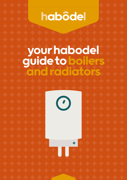# habôdel

## your habodel guide to boilers and radiators

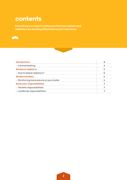### contents

Everything you need to make sure that your boilers and radiators are working effectively in your new home.





| <b>Introduction</b>                      | 4 |
|------------------------------------------|---|
| - Central heating                        | 4 |
| All about radiators                      | 5 |
| - How to bleed radiators?                | 5 |
| <b>All about boilers</b>                 | Ô |
| - Monitoring low pressure on your boiler | 6 |
| Know your responsibilities               |   |
| - Tenants responsibilities               |   |
| - Landlords responsibilities             |   |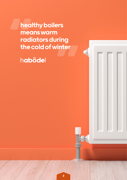healthy boilers means warm radiators during the cold of winter

habôdel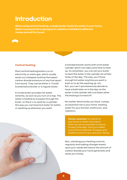### Introduction

When using central heating, a single boiler heats the water in your home. Water is pumped through pipes to radiators installed in different rooms around the house.

### Central heating

Most central heating boilers run on electricity or mains gas, which usually works out cheapest and has the lowest carbon dioxide emissions of any fuel apart from wood. They can be either a 'Combi' (combination) boiler or a regular boiler:

A Combi boiler provides hot water instantly, as soon as you turn on a tap. The water is heated as it passes through the boiler, so there's no need for a cylinder, this way you can have hot water for baths or washing up whenever you want.

A standard boiler works with a hot water cylinder which can take some time to heat up. So remember, you can set your boiler to heat the water in the cylinder at certain times of the day. This way, you'll have enough hot water anytime you want a bath or to do the washing up, etc. But, you can't spontaneously decide to have a bath later on in the day, as the water in the cylinder will cool down when the heating is turned off.

No matter which boiler you have, it plays an essential role in your home, heating water for your kitchen, bathroom, and radiators.

Please remember to check for any issues or leaks and report them as soon as possible using our Propertyfile App. Doing so makes sure that we maintain a happy and healthy home for you and your family.

Also, checking your heating controls regularly and making changes based upon your needs will reduce the amount of carbon dioxide your home generates and saves you money.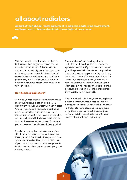### all about radiators

As part of the habodel rental agreement to maintain a safe living environment, we'll need you to bleed and maintain the radiators in your home.



The best way to check your radiators is to turn your heating on and wait for the radiators to warm up. If there are any cool spots, especially near the top of the radiator, you may need to bleed them. If the radiator doesn't warm up at all, then potentially it is full of air, and so this will need to be released before it can be used to heat rooms.

#### How to bleed radiators?

To bleed your radiators, you need to make sure your heating is off and cold – you don't want to burn yourself with hot water! You will then need a radiator bleeding key or a flat-headed screwdriver for more modern systems. At the top of the radiator, at one end, you will find a valve where you can put the key or screwdriver. Make sure you have a cloth ready to catch any drips!

Slowly turn the valve anti-clockwise. You should start to hear gas escaping with a hissing sound. Eventually, the gas will all be gone, and liquid will begin to run. It's best if you close the valve as quickly as possible to stop too much water from escaping and making a mess.

The last step after bleeding all your radiators with cold spots is to check the system's pressure. If you have bled a lot of gas, the pressure in the system may be low and you'll need to top it up using the 'filling loop'. This is a small lever on your boiler. To locate it, look underneath your boiler or refer to your boiler instructions. Turn the 'filling loop' until you see the needle on the pressure dial reach '1.5' in the green area, then quickly turn it back off.

The final check is to turn your heating back on and confirm that the cold spots have disappeared. If you've followed all of these radiator bleeding steps above and there are still cold spots or anything else that isn't quite right, you should report these issues using our Propertyfile App.

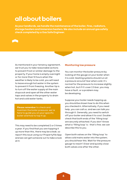### all about boilers

As your landlords, we handle the maintenance of the boiler, fires, radiators, storage heaters and immersion heaters. We also include an annual gas safety check completed by a Gas Safe Engineer.



As mentioned in your tenancy agreement, we trust you to take reasonable actions to prevent frost or similar damage to the property. If your home is empty overnight or for more than 12 hours when the weather is likely to be cold, you will need to leave enough hot water in the system to prevent it from freezing. Another tip is to turn off the water supply at the main stopcock and open all the other water taps and valves in the property to drain hot and cold water tanks.

Please remember to check and maintain the boiler pressure; we're here to guide you on your specific boiler and how to top it up.

This may need to be completed 2 or 3 times a year. If you find that you are topping it up more than this, there may be a leak, so report this issue using our Propertyfile App and we can get someone out to take a look at it.

#### Monitoring low pressure

You can monitor the boiler pressure by looking at the gauge on your boiler when it is cold. Heating systems should run at a pressure around 1 bar when cold; it's normal for the pressure to increase slightly when hot, but if it's over 2.5 bar, you may have a fault, or a problem may be developing.

Suppose your boiler needs topping up; you should be shown how to do this when you checked in. Alternatively, if you need help, you can call us, and we can talk you through it. Generally, you need to switch off your boiler and allow it to cool. Doublecheck that both ends of the 'filling loop' are securely attached. If you don't know what a 'filling loop' is - that's fine; we can describe this to you.

Open both valves on the 'filling loop' to allow cold mains water into the system; you should hear this. Wait for the pressure gauge to reach 1.5 bar and quickly close both valves one after the other.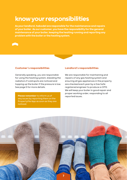### know your responsibilities

As your landlord, habodel are responsible for the maintenance and repairs of your boiler. As our customer, you have the responsibility for the general maintenance of your boiler, keeping the heating running and reporting any problem with the boiler or the heating system.



#### Customer's responsibilities

Generally speaking, you are responsible for using the heating system, bleeding the radiators if cold spots are noticed and topping up the boiler if the pressure is low. See page 5 for more details.

Please remember to inform us of the reported issues. any issues by reporting them on the Propertyfile App as soon as they are noticed.

#### Landlord's responsibilities

We are responsible for maintaining and repairs of any gas heating system and ensuring all gas appliances in the property are checked each year by a Gas Safe registered engineer to produce a CP12. We will keep your boiler in good repair and proper working order, responding to all